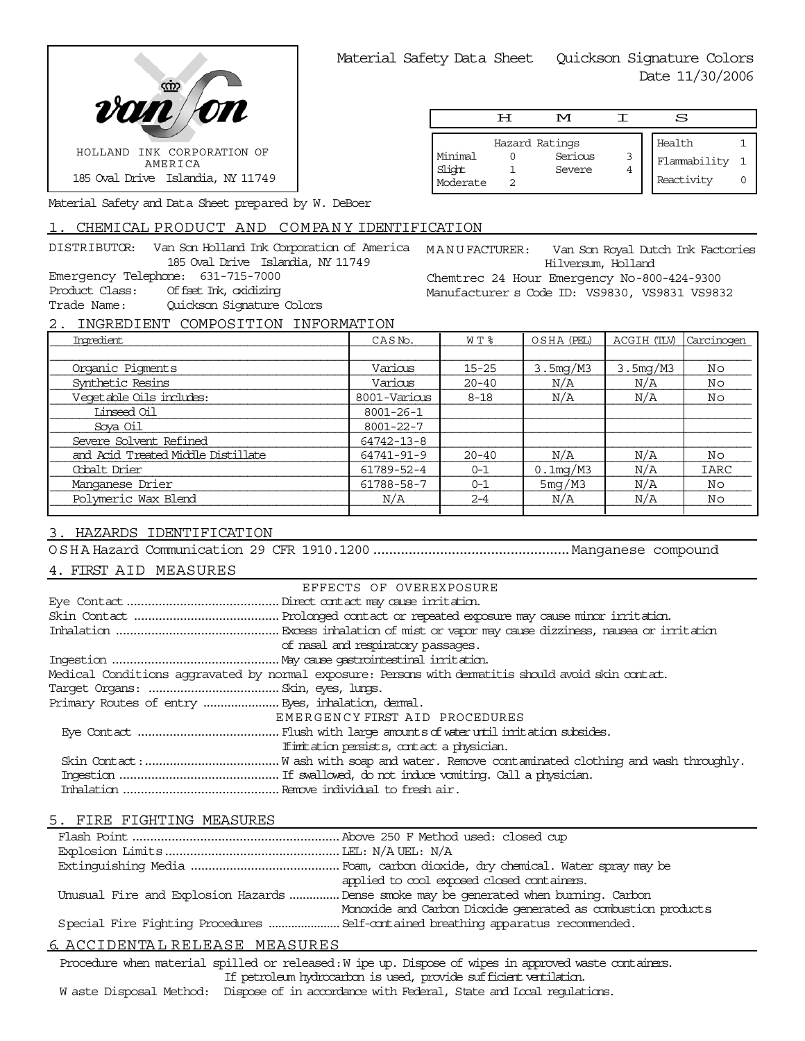

|                               | டா | M                                   |        | S                                    |  |
|-------------------------------|----|-------------------------------------|--------|--------------------------------------|--|
| Minimal<br>Slight<br>Moderate |    | Hazard Ratings<br>Serious<br>Severe | 3<br>4 | Health<br>Flammability<br>Reactivity |  |

Material Safety and Data Sheet prepared by W. DeBoer

# 1. CHEMICAL PRODUCT AND COMPANY IDENTIFICATION

DISTRIBUTOR: Van Son Holland Ink Corporation of America MANU FACTURER: 185 Oval Drive Islandia, NY 11749 Emergency Telephone: 631-715-7000 Product Class: Offset Ink, oxidizing Trade Name: Quickson Signature Colors

Van Son Royal Dutch Ink Factories Hilversum, Holland Chemtrec 24 Hour Emergency No-800-424-9300 Manufacturer s Code ID: VS9830, VS9831 VS9832

2. INGREDIENT COMPOSITION INFORMATION

| Imredient                          | CASN <sub>o</sub> . | W T %     | OSHA (PEL)  | ACGIH (TLV) | Carcinogen |
|------------------------------------|---------------------|-----------|-------------|-------------|------------|
|                                    |                     |           |             |             |            |
| Organic Pigments                   | Various             | $15 - 25$ | 3.5mg/M3    | 3.5mg/M3    | No         |
| Synthetic Resins                   | Various             | $20 - 40$ | N/A         | N/A         | No         |
| Vegetable Oils includes:           | 8001-Various        | $8 - 18$  | N/A         | N/A         | Νo         |
| Linseed Oil                        | $8001 - 26 - 1$     |           |             |             |            |
| Sova Oil                           | $8001 - 22 - 7$     |           |             |             |            |
| Severe Solvent Refined             | $64742 - 13 - 8$    |           |             |             |            |
| and Acid Treated Middle Distillate | 64741-91-9          | $20 - 40$ | N/A         | N/A         | No         |
| Cobalt Drier                       | 61789-52-4          | $0 - 1$   | $0.1$ mg/M3 | N/A         | IARC       |
| Manganese Drier                    | 61788-58-7          | $0 - 1$   | 5mg/M3      | N/A         | No         |
| Polymeric Wax Blend                | N/A                 | $2 - 4$   | N/A         | N/A         | No         |
|                                    |                     |           |             |             |            |

# 3. HAZARDS IDENTIFICATION

OSHA Hazard Communication 29 CFR 1910.1200..................................................Manganese compound

## 4. FIRST AID MEASURES

|                                                   | EFFECTS OF OVEREXPOSURE                                                                            |
|---------------------------------------------------|----------------------------------------------------------------------------------------------------|
|                                                   |                                                                                                    |
|                                                   |                                                                                                    |
|                                                   |                                                                                                    |
|                                                   | of nasal and respiratory passages.                                                                 |
|                                                   |                                                                                                    |
|                                                   | Medical Conditions aggravated by normal exposure: Persons with dematitis should avoid skin contat. |
|                                                   |                                                                                                    |
| Primary Routes of entry  Eyes, inhalation, demal. |                                                                                                    |
|                                                   | EMERGENCY FIRST AID PROCEDURES                                                                     |
|                                                   |                                                                                                    |
|                                                   | If initiation persists, contact a physician.                                                       |
|                                                   |                                                                                                    |
|                                                   |                                                                                                    |
|                                                   |                                                                                                    |

## 5. FIRE FIGHTING MEASURES

| applied to cool exposed closed containers.                                            |
|---------------------------------------------------------------------------------------|
| Unusual Fire and Explosion Hazards  Dense smoke may be generated when burning. Carbon |
| Monoxide and Carbon Dioxide generated as combustion products                          |
| Special Fire Fighting Procedures  Self-contained breathing apparatus recommended.     |
|                                                                                       |

# 6. ACCIDENTA L RELEASE MEASURES

Procedure when material spilled or released: W ipe up. Dispose of wipes in approved waste containers. If petroleum hydrocarbon is used, provide sufficient ventilation.

W aste Disposal Method: Dispose of in accordance with Federal, State and Local regulations.